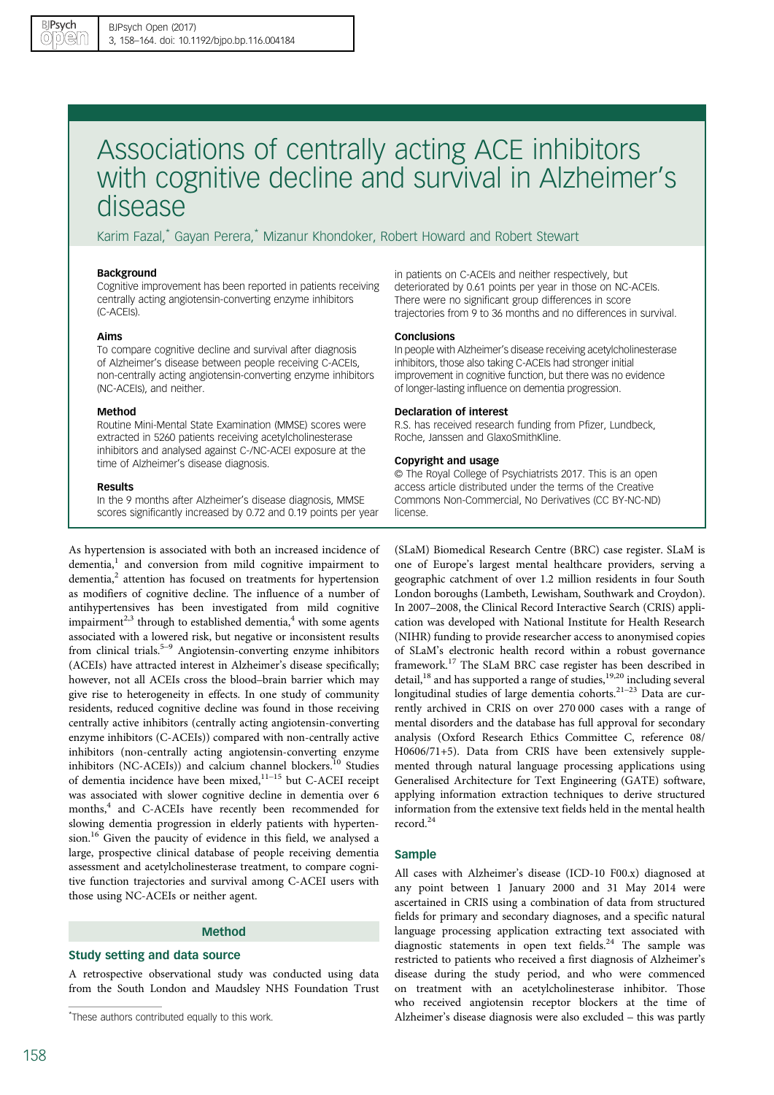# Associations of centrally acting ACE inhibitors with cognitive decline and survival in Alzheimer's disease

Karim Fazal,\* Gayan Perera,\* Mizanur Khondoker, Robert Howard and Robert Stewart

#### Background

Cognitive improvement has been reported in patients receiving centrally acting angiotensin-converting enzyme inhibitors (C-ACEIs).

## Aims

To compare cognitive decline and survival after diagnosis of Alzheimer's disease between people receiving C-ACEIs, non-centrally acting angiotensin-converting enzyme inhibitors (NC-ACEIs), and neither.

#### Method

Routine Mini-Mental State Examination (MMSE) scores were extracted in 5260 patients receiving acetylcholinesterase inhibitors and analysed against C-/NC-ACEI exposure at the time of Alzheimer's disease diagnosis.

#### Results

In the 9 months after Alzheimer's disease diagnosis, MMSE scores significantly increased by 0.72 and 0.19 points per year

As hypertension is associated with both an increased incidence of  $d$ ementia,<sup>[1](#page-5-0)</sup> and conversion from mild cognitive impairment to dementia,<sup>[2](#page-5-0)</sup> attention has focused on treatments for hypertension as modifiers of cognitive decline. The influence of a number of antihypertensives has been investigated from mild cognitive impairment<sup>2,[3](#page-5-0)</sup> through to established dementia,<sup>[4](#page-5-0)</sup> with some agents associated with a lowered risk, but negative or inconsistent results from clinical trials.<sup>[5](#page-5-0)-[9](#page-5-0)</sup> Angiotensin-converting enzyme inhibitors (ACEIs) have attracted interest in Alzheimer's disease specifically; however, not all ACEIs cross the blood–brain barrier which may give rise to heterogeneity in effects. In one study of community residents, reduced cognitive decline was found in those receiving centrally active inhibitors (centrally acting angiotensin-converting enzyme inhibitors (C-ACEIs)) compared with non-centrally active inhibitors (non-centrally acting angiotensin-converting enzyme inhibitors (NC-ACEIs)) and calcium channel blockers.<sup>[10](#page-5-0)</sup> Studies of dementia incidence have been mixed,<sup>[11](#page-5-0)-[15](#page-5-0)</sup> but C-ACEI receipt was associated with slower cognitive decline in dementia over 6 months,<sup>[4](#page-5-0)</sup> and C-ACEIs have recently been recommended for slowing dementia progression in elderly patients with hypertension.[16](#page-5-0) Given the paucity of evidence in this field, we analysed a large, prospective clinical database of people receiving dementia assessment and acetylcholinesterase treatment, to compare cognitive function trajectories and survival among C-ACEI users with those using NC-ACEIs or neither agent.

## Method

#### Study setting and data source

A retrospective observational study was conducted using data from the South London and Maudsley NHS Foundation Trust in patients on C-ACEIs and neither respectively, but deteriorated by 0.61 points per year in those on NC-ACEIs. There were no significant group differences in score trajectories from 9 to 36 months and no differences in survival.

### **Conclusions**

In people with Alzheimer's disease receiving acetylcholinesterase inhibitors, those also taking C-ACEIs had stronger initial improvement in cognitive function, but there was no evidence of longer-lasting influence on dementia progression.

#### Declaration of interest

R.S. has received research funding from Pfizer, Lundbeck, Roche, Janssen and GlaxoSmithKline.

#### Copyright and usage

© The Royal College of Psychiatrists 2017. This is an open access article distributed under the terms of the Creative Commons Non-Commercial, No Derivatives (CC BY-NC-ND) license.

(SLaM) Biomedical Research Centre (BRC) case register. SLaM is one of Europe's largest mental healthcare providers, serving a geographic catchment of over 1.2 million residents in four South London boroughs (Lambeth, Lewisham, Southwark and Croydon). In 2007–2008, the Clinical Record Interactive Search (CRIS) appli‐ cation was developed with National Institute for Health Research (NIHR) funding to provide researcher access to anonymised copies of SLaM's electronic health record within a robust governance framework.[17](#page-5-0) The SLaM BRC case register has been described in detail,<sup>[18](#page-6-0)</sup> and has supported a range of studies, $19,20$  $19,20$  $19,20$  including several longitudinal studies of large dementia cohorts.<sup>[21](#page-6-0)–[23](#page-6-0)</sup> Data are currently archived in CRIS on over 270 000 cases with a range of mental disorders and the database has full approval for secondary analysis (Oxford Research Ethics Committee C, reference 08/ H0606/71+5). Data from CRIS have been extensively supplemented through natural language processing applications using Generalised Architecture for Text Engineering (GATE) software, applying information extraction techniques to derive structured information from the extensive text fields held in the mental health record.[24](#page-6-0)

#### Sample

All cases with Alzheimer's disease (ICD-10 F00.x) diagnosed at any point between 1 January 2000 and 31 May 2014 were ascertained in CRIS using a combination of data from structured fields for primary and secondary diagnoses, and a specific natural language processing application extracting text associated with diagnostic statements in open text fields. $24$  The sample was restricted to patients who received a first diagnosis of Alzheimer's disease during the study period, and who were commenced on treatment with an acetylcholinesterase inhibitor. Those who received angiotensin receptor blockers at the time of Alzheimer's disease diagnosis were also excluded – this was partly \*

These authors contributed equally to this work.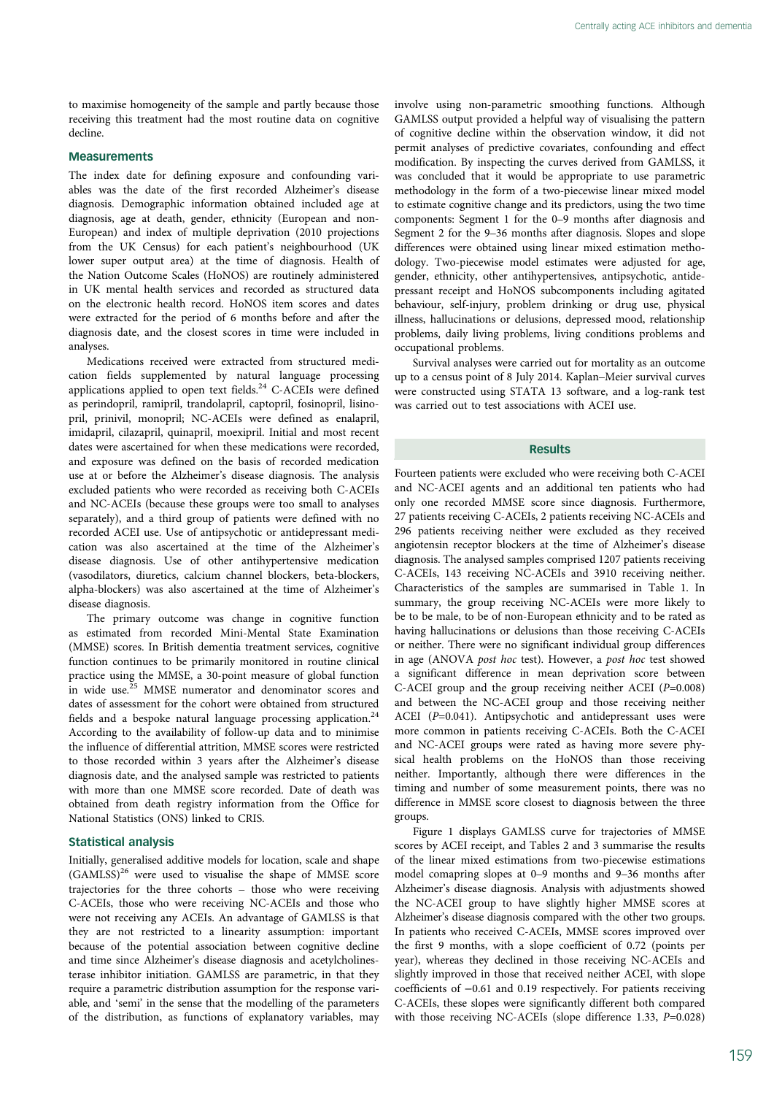to maximise homogeneity of the sample and partly because those receiving this treatment had the most routine data on cognitive decline.

## **Measurements**

The index date for defining exposure and confounding variables was the date of the first recorded Alzheimer's disease diagnosis. Demographic information obtained included age at diagnosis, age at death, gender, ethnicity (European and non-European) and index of multiple deprivation (2010 projections from the UK Census) for each patient's neighbourhood (UK lower super output area) at the time of diagnosis. Health of the Nation Outcome Scales (HoNOS) are routinely administered in UK mental health services and recorded as structured data on the electronic health record. HoNOS item scores and dates were extracted for the period of 6 months before and after the diagnosis date, and the closest scores in time were included in analyses.

Medications received were extracted from structured medication fields supplemented by natural language processing applications applied to open text fields. $24$  C-ACEIs were defined as perindopril, ramipril, trandolapril, captopril, fosinopril, lisinopril, prinivil, monopril; NC-ACEIs were defined as enalapril, imidapril, cilazapril, quinapril, moexipril. Initial and most recent dates were ascertained for when these medications were recorded, and exposure was defined on the basis of recorded medication use at or before the Alzheimer's disease diagnosis. The analysis excluded patients who were recorded as receiving both C-ACEIs and NC-ACEIs (because these groups were too small to analyses separately), and a third group of patients were defined with no recorded ACEI use. Use of antipsychotic or antidepressant medi‐ cation was also ascertained at the time of the Alzheimer's disease diagnosis. Use of other antihypertensive medication (vasodilators, diuretics, calcium channel blockers, beta-blockers, alpha-blockers) was also ascertained at the time of Alzheimer's disease diagnosis.

The primary outcome was change in cognitive function as estimated from recorded Mini-Mental State Examination (MMSE) scores. In British dementia treatment services, cognitive function continues to be primarily monitored in routine clinical practice using the MMSE, a 30-point measure of global function in wide use.<sup>[25](#page-6-0)</sup> MMSE numerator and denominator scores and dates of assessment for the cohort were obtained from structured fields and a bespoke natural language processing application.<sup>[24](#page-6-0)</sup> According to the availability of follow-up data and to minimise the influence of differential attrition, MMSE scores were restricted to those recorded within 3 years after the Alzheimer's disease diagnosis date, and the analysed sample was restricted to patients with more than one MMSE score recorded. Date of death was obtained from death registry information from the Office for National Statistics (ONS) linked to CRIS.

## Statistical analysis

Initially, generalised additive models for location, scale and shape  $(GAMLSS)^{26}$  $(GAMLSS)^{26}$  $(GAMLSS)^{26}$  were used to visualise the shape of MMSE score trajectories for the three cohorts – those who were receiving C-ACEIs, those who were receiving NC-ACEIs and those who were not receiving any ACEIs. An advantage of GAMLSS is that they are not restricted to a linearity assumption: important because of the potential association between cognitive decline and time since Alzheimer's disease diagnosis and acetylcholinesterase inhibitor initiation. GAMLSS are parametric, in that they require a parametric distribution assumption for the response variable, and 'semi' in the sense that the modelling of the parameters of the distribution, as functions of explanatory variables, may

involve using non-parametric smoothing functions. Although GAMLSS output provided a helpful way of visualising the pattern of cognitive decline within the observation window, it did not permit analyses of predictive covariates, confounding and effect modification. By inspecting the curves derived from GAMLSS, it was concluded that it would be appropriate to use parametric methodology in the form of a two-piecewise linear mixed model to estimate cognitive change and its predictors, using the two time components: Segment 1 for the 0–9 months after diagnosis and Segment 2 for the 9–36 months after diagnosis. Slopes and slope differences were obtained using linear mixed estimation methodology. Two-piecewise model estimates were adjusted for age, gender, ethnicity, other antihypertensives, antipsychotic, antidepressant receipt and HoNOS subcomponents including agitated behaviour, self-injury, problem drinking or drug use, physical illness, hallucinations or delusions, depressed mood, relationship problems, daily living problems, living conditions problems and occupational problems.

Survival analyses were carried out for mortality as an outcome up to a census point of 8 July 2014. Kaplan–Meier survival curves were constructed using STATA 13 software, and a log-rank test was carried out to test associations with ACEI use.

## **Results**

Fourteen patients were excluded who were receiving both C-ACEI and NC-ACEI agents and an additional ten patients who had only one recorded MMSE score since diagnosis. Furthermore, 27 patients receiving C-ACEIs, 2 patients receiving NC-ACEIs and 296 patients receiving neither were excluded as they received angiotensin receptor blockers at the time of Alzheimer's disease diagnosis. The analysed samples comprised 1207 patients receiving C-ACEIs, 143 receiving NC-ACEIs and 3910 receiving neither. Characteristics of the samples are summarised in [Table 1.](#page-2-0) In summary, the group receiving NC-ACEIs were more likely to be to be male, to be of non-European ethnicity and to be rated as having hallucinations or delusions than those receiving C-ACEIs or neither. There were no significant individual group differences in age (ANOVA post hoc test). However, a post hoc test showed a significant difference in mean deprivation score between C-ACEI group and the group receiving neither ACEI  $(P=0.008)$ and between the NC-ACEI group and those receiving neither ACEI (P=0.041). Antipsychotic and antidepressant uses were more common in patients receiving C-ACEIs. Both the C-ACEI and NC-ACEI groups were rated as having more severe phy‐ sical health problems on the HoNOS than those receiving neither. Importantly, although there were differences in the timing and number of some measurement points, there was no difference in MMSE score closest to diagnosis between the three groups.

[Figure 1](#page-3-0) displays GAMLSS curve for trajectories of MMSE scores by ACEI receipt, and [Tables 2](#page-3-0) and [3](#page-3-0) summarise the results of the linear mixed estimations from two-piecewise estimations model comapring slopes at 0–9 months and 9–36 months after Alzheimer's disease diagnosis. Analysis with adjustments showed the NC-ACEI group to have slightly higher MMSE scores at Alzheimer's disease diagnosis compared with the other two groups. In patients who received C-ACEIs, MMSE scores improved over the first 9 months, with a slope coefficient of 0.72 (points per year), whereas they declined in those receiving NC-ACEIs and slightly improved in those that received neither ACEI, with slope coefficients of −0.61 and 0.19 respectively. For patients receiving C-ACEIs, these slopes were significantly different both compared with those receiving NC-ACEIs (slope difference 1.33, P=0.028)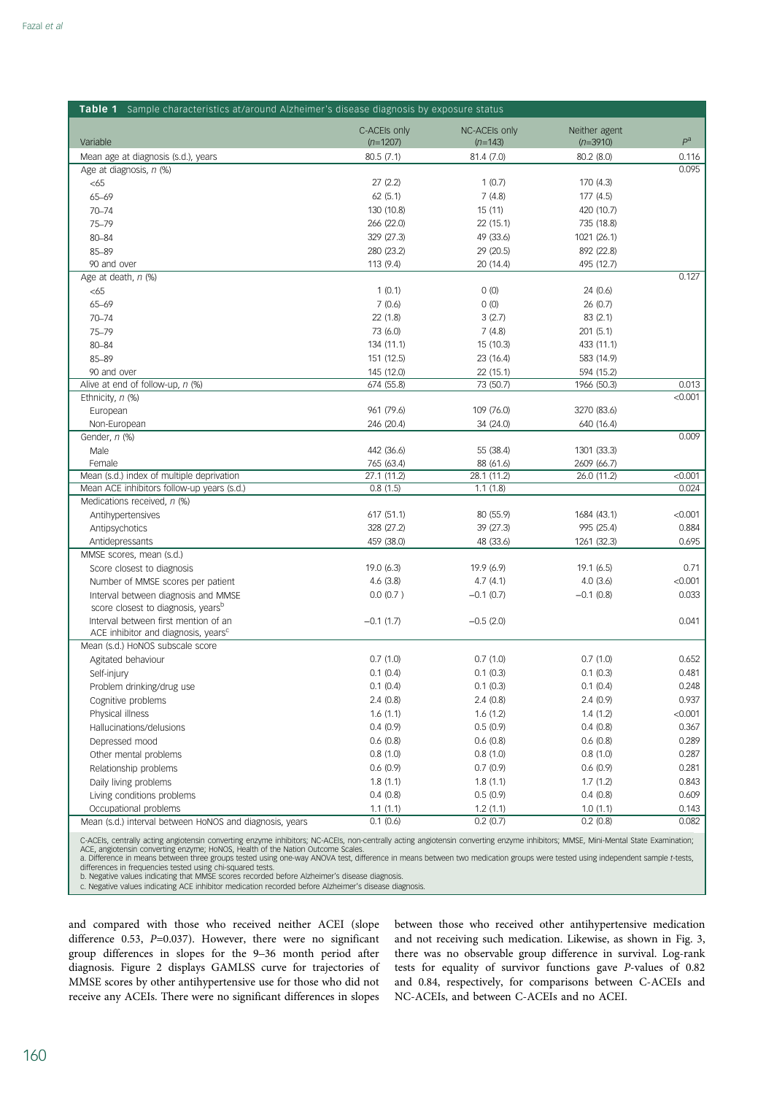<span id="page-2-0"></span>

| <b>Table 1</b> Sample characteristics at/around Alzheimer's disease diagnosis by exposure status |              |                        |               |         |  |  |  |  |
|--------------------------------------------------------------------------------------------------|--------------|------------------------|---------------|---------|--|--|--|--|
|                                                                                                  | C-ACEIs only | NC-ACEIS only          | Neither agent |         |  |  |  |  |
| Variable                                                                                         | $(n=1207)$   | $(n=143)$              | $(n=3910)$    | $P^a$   |  |  |  |  |
| Mean age at diagnosis (s.d.), years                                                              | 80.5(7.1)    | 81.4 (7.0)             | 80.2 (8.0)    | 0.116   |  |  |  |  |
| Age at diagnosis, n (%)                                                                          |              |                        |               | 0.095   |  |  |  |  |
| <65                                                                                              | 27(2.2)      | 1(0.7)                 | 170 (4.3)     |         |  |  |  |  |
| $65 - 69$                                                                                        | 62(5.1)      | 7(4.8)                 | 177(4.5)      |         |  |  |  |  |
| $70 - 74$                                                                                        | 130 (10.8)   | 15(11)                 | 420 (10.7)    |         |  |  |  |  |
| 75-79                                                                                            | 266 (22.0)   | 22 (15.1)              | 735 (18.8)    |         |  |  |  |  |
| $80 - 84$                                                                                        | 329 (27.3)   | 49 (33.6)              | 1021 (26.1)   |         |  |  |  |  |
| 85-89                                                                                            | 280 (23.2)   | 29 (20.5)              | 892 (22.8)    |         |  |  |  |  |
| 90 and over                                                                                      | 113 (9.4)    | 20 (14.4)              | 495 (12.7)    |         |  |  |  |  |
| Age at death, n (%)                                                                              |              |                        |               | 0.127   |  |  |  |  |
| <65                                                                                              | 1(0.1)       | 0(0)                   | 24 (0.6)      |         |  |  |  |  |
| $65 - 69$                                                                                        | 7(0.6)       | 0(0)                   | 26 (0.7)      |         |  |  |  |  |
| $70 - 74$                                                                                        | 22(1.8)      | 3(2.7)                 | 83 (2.1)      |         |  |  |  |  |
| 75-79                                                                                            | 73 (6.0)     | 7(4.8)                 | 201(5.1)      |         |  |  |  |  |
| $80 - 84$                                                                                        | 134 (11.1)   | 15 (10.3)              | 433 (11.1)    |         |  |  |  |  |
| 85-89                                                                                            | 151 (12.5)   | 23 (16.4)              | 583 (14.9)    |         |  |  |  |  |
| 90 and over                                                                                      | 145 (12.0)   | 22 (15.1)              | 594 (15.2)    |         |  |  |  |  |
| Alive at end of follow-up, n (%)                                                                 | 674 (55.8)   | 73 (50.7)              | 1966 (50.3)   | 0.013   |  |  |  |  |
| Ethnicity, n (%)                                                                                 |              |                        |               | < 0.001 |  |  |  |  |
| European                                                                                         | 961 (79.6)   | 109 (76.0)             | 3270 (83.6)   |         |  |  |  |  |
| Non-European                                                                                     | 246 (20.4)   | 34 (24.0)              | 640 (16.4)    |         |  |  |  |  |
| Gender, n (%)                                                                                    |              |                        |               | 0.009   |  |  |  |  |
| Male                                                                                             | 442 (36.6)   | 55 (38.4)              | 1301 (33.3)   |         |  |  |  |  |
| Female                                                                                           | 765 (63.4)   | 88 (61.6)              | 2609 (66.7)   |         |  |  |  |  |
| Mean (s.d.) index of multiple deprivation                                                        | 27.1 (11.2)  | 28.1 (11.2)            | 26.0 (11.2)   | < 0.001 |  |  |  |  |
| Mean ACE inhibitors follow-up years (s.d.)                                                       | 0.8(1.5)     | 1.1(1.8)               |               | 0.024   |  |  |  |  |
| Medications received, n (%)                                                                      |              |                        |               |         |  |  |  |  |
| Antihypertensives                                                                                | 617 (51.1)   | 80 (55.9)              | 1684 (43.1)   | < 0.001 |  |  |  |  |
| Antipsychotics                                                                                   | 328 (27.2)   | 39 (27.3)              | 995 (25.4)    | 0.884   |  |  |  |  |
| Antidepressants                                                                                  | 459 (38.0)   | 48 (33.6)              | 1261 (32.3)   | 0.695   |  |  |  |  |
| MMSE scores, mean (s.d.)                                                                         |              |                        |               |         |  |  |  |  |
| Score closest to diagnosis                                                                       | 19.0 (6.3)   | 19.9 (6.9)             | 19.1(6.5)     | 0.71    |  |  |  |  |
| Number of MMSE scores per patient                                                                | 4.6(3.8)     | 4.7(4.1)               | 4.0(3.6)      | < 0.001 |  |  |  |  |
| Interval between diagnosis and MMSE                                                              | 0.0(0.7)     | $-0.1(0.7)$            | $-0.1(0.8)$   | 0.033   |  |  |  |  |
| score closest to diagnosis, years <sup>b</sup>                                                   |              |                        |               |         |  |  |  |  |
| Interval between first mention of an                                                             | $-0.1(1.7)$  | $-0.5(2.0)$            |               | 0.041   |  |  |  |  |
| ACE inhibitor and diagnosis, years <sup>c</sup>                                                  |              |                        |               |         |  |  |  |  |
| Mean (s.d.) HoNOS subscale score                                                                 |              |                        |               |         |  |  |  |  |
| Agitated behaviour                                                                               | 0.7(1.0)     | 0.7(1.0)               | 0.7(1.0)      | 0.652   |  |  |  |  |
| Self-injury                                                                                      | 0.1(0.4)     | 0.1(0.3)               | 0.1(0.3)      | 0.481   |  |  |  |  |
| Problem drinking/drug use                                                                        | 0.1(0.4)     | 0.1(0.3)               | 0.1(0.4)      | 0.248   |  |  |  |  |
| Cognitive problems                                                                               | 2.4(0.8)     | 2.4(0.8)               | 2.4(0.9)      | 0.937   |  |  |  |  |
| Physical illness                                                                                 | 1.6(1.1)     | 1.6(1.2)               | 1.4(1.2)      | < 0.001 |  |  |  |  |
| Hallucinations/delusions                                                                         | 0.4(0.9)     | 0.5(0.9)               | 0.4(0.8)      | 0.367   |  |  |  |  |
| Depressed mood                                                                                   | 0.6(0.8)     | 0.6(0.8)               | 0.6(0.8)      | 0.289   |  |  |  |  |
| Other mental problems                                                                            | 0.8(1.0)     | 0.8(1.0)               | 0.8(1.0)      | 0.287   |  |  |  |  |
| Relationship problems                                                                            | 0.6(0.9)     | 0.7(0.9)               | 0.6(0.9)      | 0.281   |  |  |  |  |
| Daily living problems                                                                            | 1.8(1.1)     | 1.8(1.1)               | 1.7(1.2)      | 0.843   |  |  |  |  |
| Living conditions problems                                                                       | 0.4(0.8)     | 0.5(0.9)               | 0.4(0.8)      | 0.609   |  |  |  |  |
| Occupational problems                                                                            | 1.1(1.1)     | 1.2(1.1)               | 1.0(1.1)      | 0.143   |  |  |  |  |
| Mean (s.d.) interval between HoNOS and diagnosis, years                                          | 0.1(0.6)     | $0.2 \overline{(0.7)}$ | 0.2(0.8)      | 0.082   |  |  |  |  |
|                                                                                                  |              |                        |               |         |  |  |  |  |

C-ACEIs, centrally acting angiotensin converting enzyme inhibitors; NC-ACEIs, non-centrally acting angiotensin converting enzyme inhibitors; MMSE, Mini-Mental State Examination,<br>ACE, angiotensin converting enzyme; HoNOS, H

differences in frequencies tested using chi-squared tests. b. Negative values indicating that MMSE scores recorded before Alzheimer's disease diagnosis.

c. Negative values indicating ACE inhibitor medication recorded before Alzheimer's disease diagnosis.

and compared with those who received neither ACEI (slope difference 0.53, P=0.037). However, there were no significant group differences in slopes for the 9–36 month period after diagnosis. [Figure 2](#page-4-0) displays GAMLSS curve for trajectories of MMSE scores by other antihypertensive use for those who did not receive any ACEIs. There were no significant differences in slopes

between those who received other antihypertensive medication and not receiving such medication. Likewise, as shown in [Fig. 3,](#page-4-0) there was no observable group difference in survival. Log-rank tests for equality of survivor functions gave P-values of 0.82 and 0.84, respectively, for comparisons between C-ACEIs and NC-ACEIs, and between C-ACEIs and no ACEI.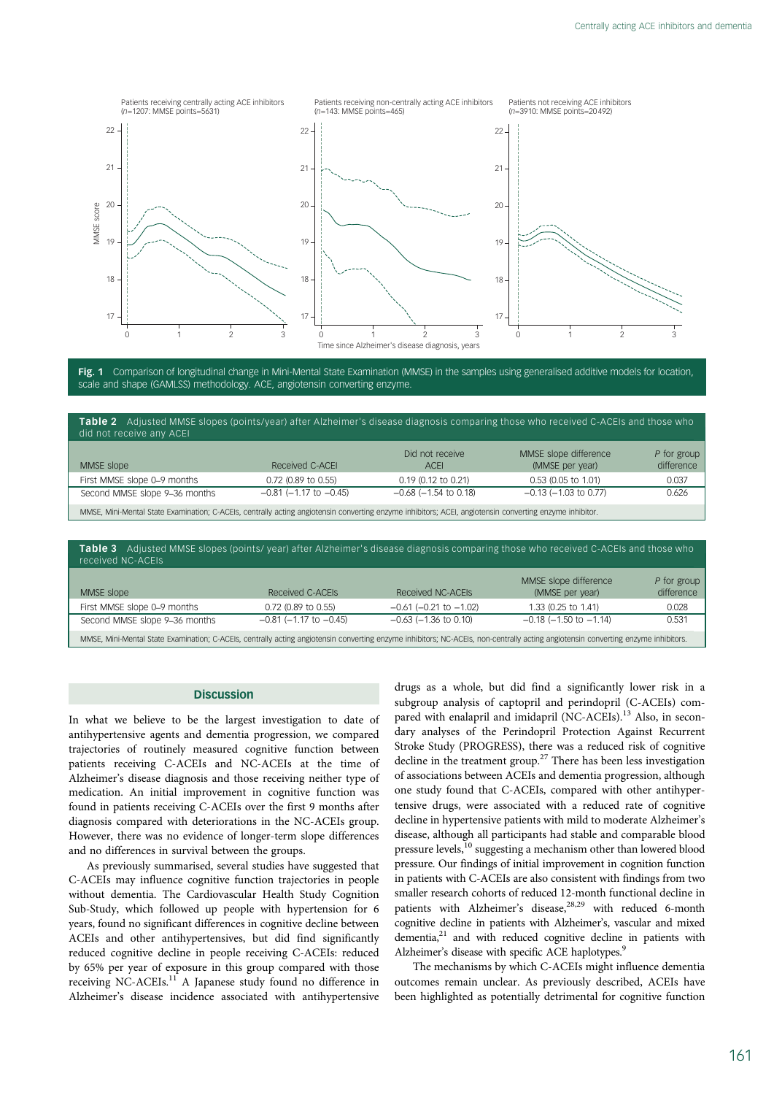<span id="page-3-0"></span>

Fig. 1 Comparison of longitudinal change in Mini-Mental State Examination (MMSE) in the samples using generalised additive models for location scale and shape (GAMLSS) methodology. ACE, angiotensin converting enzyme.

| <b>Table 2</b> Adjusted MMSE slopes (points/year) after Alzheimer's disease diagnosis comparing those who received C-ACEIs and those who<br>did not receive any ACEI |                                |                                |                                          |                             |  |  |  |  |
|----------------------------------------------------------------------------------------------------------------------------------------------------------------------|--------------------------------|--------------------------------|------------------------------------------|-----------------------------|--|--|--|--|
| MMSE slope                                                                                                                                                           | Received C-ACFI                | Did not receive<br><b>ACFI</b> | MMSE slope difference<br>(MMSE per year) | $P$ for group<br>difference |  |  |  |  |
| First MMSE slope 0-9 months                                                                                                                                          | 0.72 (0.89 to 0.55)            | $0.19$ (0.12 to 0.21)          | 0.53 (0.05 to 1.01)                      | 0.037                       |  |  |  |  |
| Second MMSE slope 9-36 months                                                                                                                                        | $-0.81$ ( $-1.17$ to $-0.45$ ) | $-0.68$ ( $-1.54$ to 0.18)     | $-0.13$ ( $-1.03$ to 0.77)               | 0.626                       |  |  |  |  |
| MMSE, Mini-Mental State Examination; C-ACEIs, centrally acting angiotensin converting enzyme inhibitors; ACEI, angiotensin converting enzyme inhibitor.              |                                |                                |                                          |                             |  |  |  |  |

| Table 3 Adjusted MMSE slopes (points/ year) after Alzheimer's disease diagnosis comparing those who received C-ACEIs and those who<br>received NC-ACEIS                           |                                |                                |                                          |                             |  |  |  |
|-----------------------------------------------------------------------------------------------------------------------------------------------------------------------------------|--------------------------------|--------------------------------|------------------------------------------|-----------------------------|--|--|--|
| MMSE slope                                                                                                                                                                        | Received C-ACEIS               | Received NC-ACEIS              | MMSE slope difference<br>(MMSE per year) | $P$ for group<br>difference |  |  |  |
| First MMSE slope 0-9 months                                                                                                                                                       | 0.72 (0.89 to 0.55)            | $-0.61$ ( $-0.21$ to $-1.02$ ) | 1.33 (0.25 to 1.41)                      | 0.028                       |  |  |  |
| Second MMSE slope 9-36 months                                                                                                                                                     | $-0.81$ ( $-1.17$ to $-0.45$ ) | $-0.63$ ( $-1.36$ to 0.10)     | $-0.18$ ( $-1.50$ to $-1.14$ )           | 0.531                       |  |  |  |
| MMSE, Mini-Mental State Examination; C-ACEIs, centrally acting angiotensin converting enzyme inhibitors; NC-ACEIs, non-centrally acting angiotensin converting enzyme inhibitors. |                                |                                |                                          |                             |  |  |  |

### **Discussion**

In what we believe to be the largest investigation to date of antihypertensive agents and dementia progression, we compared trajectories of routinely measured cognitive function between patients receiving C-ACEIs and NC-ACEIs at the time of Alzheimer's disease diagnosis and those receiving neither type of medication. An initial improvement in cognitive function was found in patients receiving C-ACEIs over the first 9 months after diagnosis compared with deteriorations in the NC-ACEIs group. However, there was no evidence of longer-term slope differences and no differences in survival between the groups.

As previously summarised, several studies have suggested that C-ACEIs may influence cognitive function trajectories in people without dementia. The Cardiovascular Health Study Cognition Sub-Study, which followed up people with hypertension for 6 years, found no significant differences in cognitive decline between ACEIs and other antihypertensives, but did find significantly reduced cognitive decline in people receiving C-ACEIs: reduced by 65% per year of exposure in this group compared with those receiving NC-ACEIs.<sup>[11](#page-5-0)</sup> A Japanese study found no difference in Alzheimer's disease incidence associated with antihypertensive

drugs as a whole, but did find a significantly lower risk in a subgroup analysis of captopril and perindopril (C-ACEIs) com-pared with enalapril and imidapril (NC-ACEIs).<sup>[13](#page-5-0)</sup> Also, in secondary analyses of the Perindopril Protection Against Recurrent Stroke Study (PROGRESS), there was a reduced risk of cognitive decline in the treatment group.<sup>[27](#page-6-0)</sup> There has been less investigation of associations between ACEIs and dementia progression, although one study found that C-ACEIs, compared with other antihypertensive drugs, were associated with a reduced rate of cognitive decline in hypertensive patients with mild to moderate Alzheimer's disease, although all participants had stable and comparable blood pressure levels,<sup>[10](#page-5-0)</sup> suggesting a mechanism other than lowered blood pressure. Our findings of initial improvement in cognition function in patients with C-ACEIs are also consistent with findings from two smaller research cohorts of reduced 12-month functional decline in patients with Alzheimer's disease,<sup>[28](#page-6-0),[29](#page-6-0)</sup> with reduced 6-month cognitive decline in patients with Alzheimer's, vascular and mixed dementia,<sup>[21](#page-6-0)</sup> and with reduced cognitive decline in patients with Alzheimer's disease with specific ACE haplotypes.<sup>9</sup>

The mechanisms by which C-ACEIs might influence dementia outcomes remain unclear. As previously described, ACEIs have been highlighted as potentially detrimental for cognitive function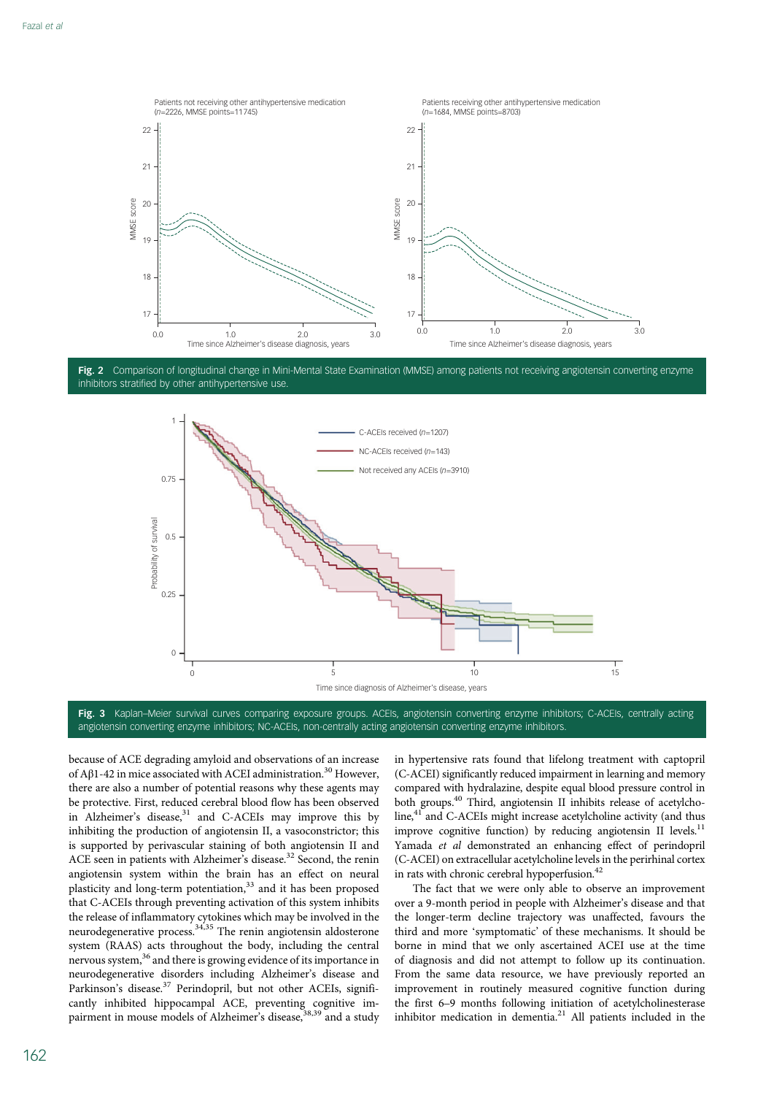<span id="page-4-0"></span>





Fig. 3 Kaplan–Meier survival curves comparing exposure groups. ACEIs, angiotensin converting enzyme inhibitors; C-ACEIs, centrally acting angiotensin converting enzyme inhibitors; NC-ACEIs, non-centrally acting angiotensin converting enzyme inhibitors.

because of ACE degrading amyloid and observations of an increase of Aβ1-42 in mice associated with ACEI administration.<sup>[30](#page-6-0)</sup> However, there are also a number of potential reasons why these agents may be protective. First, reduced cerebral blood flow has been observed in Alzheimer's disease,<sup>[31](#page-6-0)</sup> and C-ACEIs may improve this by inhibiting the production of angiotensin II, a vasoconstrictor; this is supported by perivascular staining of both angiotensin II and ACE seen in patients with Alzheimer's disease.<sup>[32](#page-6-0)</sup> Second, the renin angiotensin system within the brain has an effect on neural plasticity and long-term potentiation,<sup>[33](#page-6-0)</sup> and it has been proposed that C-ACEIs through preventing activation of this system inhibits the release of inflammatory cytokines which may be involved in the neurodegenerative process.[34](#page-6-0),[35](#page-6-0) The renin angiotensin aldosterone system (RAAS) acts throughout the body, including the central nervous system,<sup>36</sup> and there is growing evidence of its importance in neurodegenerative disorders including Alzheimer's disease and Parkinson's disease.<sup>[37](#page-6-0)</sup> Perindopril, but not other ACEIs, significantly inhibited hippocampal ACE, preventing cognitive im-pairment in mouse models of Alzheimer's disease,<sup>[38,39](#page-6-0)</sup> and a study

in hypertensive rats found that lifelong treatment with captopril (C-ACEI) significantly reduced impairment in learning and memory compared with hydralazine, despite equal blood pressure control in both groups[.40](#page-6-0) Third, angiotensin II inhibits release of acetylcholine,<sup>41</sup> and C-ACEIs might increase acetylcholine activity (and thus improve cognitive function) by reducing angiotensin II levels.<sup>11</sup> Yamada et al demonstrated an enhancing effect of perindopril (C-ACEI) on extracellular acetylcholine levels in the perirhinal cortex in rats with chronic cerebral hypoperfusion.<sup>42</sup>

The fact that we were only able to observe an improvement over a 9-month period in people with Alzheimer's disease and that the longer-term decline trajectory was unaffected, favours the third and more 'symptomatic' of these mechanisms. It should be borne in mind that we only ascertained ACEI use at the time of diagnosis and did not attempt to follow up its continuation. From the same data resource, we have previously reported an improvement in routinely measured cognitive function during the first 6–9 months following initiation of acetylcholinesterase inhibitor medication in dementia.<sup>[21](#page-6-0)</sup> All patients included in the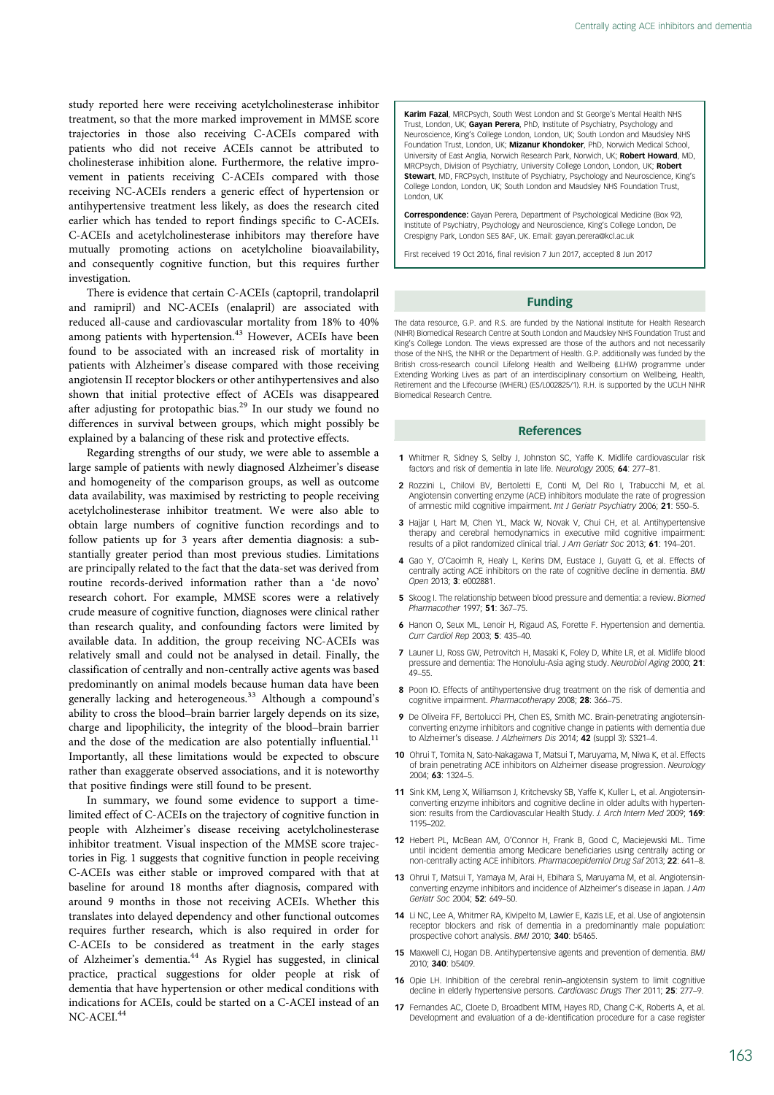<span id="page-5-0"></span>study reported here were receiving acetylcholinesterase inhibitor treatment, so that the more marked improvement in MMSE score trajectories in those also receiving C-ACEIs compared with patients who did not receive ACEIs cannot be attributed to cholinesterase inhibition alone. Furthermore, the relative impro‐ vement in patients receiving C-ACEIs compared with those receiving NC-ACEIs renders a generic effect of hypertension or antihypertensive treatment less likely, as does the research cited earlier which has tended to report findings specific to C-ACEIs. C-ACEIs and acetylcholinesterase inhibitors may therefore have mutually promoting actions on acetylcholine bioavailability, and consequently cognitive function, but this requires further investigation.

There is evidence that certain C-ACEIs (captopril, trandolapril and ramipril) and NC-ACEIs (enalapril) are associated with reduced all-cause and cardiovascular mortality from 18% to 40% among patients with hypertension.<sup>[43](#page-6-0)</sup> However, ACEIs have been found to be associated with an increased risk of mortality in patients with Alzheimer's disease compared with those receiving angiotensin II receptor blockers or other antihypertensives and also shown that initial protective effect of ACEIs was disappeared after adjusting for protopathic bias.<sup>[29](#page-6-0)</sup> In our study we found no differences in survival between groups, which might possibly be explained by a balancing of these risk and protective effects.

Regarding strengths of our study, we were able to assemble a large sample of patients with newly diagnosed Alzheimer's disease and homogeneity of the comparison groups, as well as outcome data availability, was maximised by restricting to people receiving acetylcholinesterase inhibitor treatment. We were also able to obtain large numbers of cognitive function recordings and to follow patients up for 3 years after dementia diagnosis: a substantially greater period than most previous studies. Limitations are principally related to the fact that the data-set was derived from routine records-derived information rather than a 'de novo' research cohort. For example, MMSE scores were a relatively crude measure of cognitive function, diagnoses were clinical rather than research quality, and confounding factors were limited by available data. In addition, the group receiving NC-ACEIs was relatively small and could not be analysed in detail. Finally, the classification of centrally and non-centrally active agents was based predominantly on animal models because human data have been generally lacking and heterogeneous.<sup>[33](#page-6-0)</sup> Although a compound's ability to cross the blood–brain barrier largely depends on its size, charge and lipophilicity, the integrity of the blood–brain barrier and the dose of the medication are also potentially influential.<sup>11</sup> Importantly, all these limitations would be expected to obscure rather than exaggerate observed associations, and it is noteworthy that positive findings were still found to be present.

In summary, we found some evidence to support a timelimited effect of C-ACEIs on the trajectory of cognitive function in people with Alzheimer's disease receiving acetylcholinesterase inhibitor treatment. Visual inspection of the MMSE score trajectories in [Fig. 1](#page-3-0) suggests that cognitive function in people receiving C-ACEIs was either stable or improved compared with that at baseline for around 18 months after diagnosis, compared with around 9 months in those not receiving ACEIs. Whether this translates into delayed dependency and other functional outcomes requires further research, which is also required in order for C-ACEIs to be considered as treatment in the early stages of Alzheimer's dementia.<sup>[44](#page-6-0)</sup> As Rygiel has suggested, in clinical practice, practical suggestions for older people at risk of dementia that have hypertension or other medical conditions with indications for ACEIs, could be started on a C-ACEI instead of an NC-ACEI.<sup>[44](#page-6-0)</sup>

Karim Fazal, MRCPsych, South West London and St George's Mental Health NHS Trust, London, UK; Gayan Perera, PhD, Institute of Psychiatry, Psychology and Neuroscience, King's College London, London, UK; South London and Maudsley NHS Foundation Trust, London, UK; Mizanur Khondoker, PhD, Norwich Medical School, University of East Anglia, Norwich Research Park, Norwich, UK; Robert Howard, MD, MRCPsych, Division of Psychiatry, University College London, London, UK; Robert Stewart, MD, FRCPsych, Institute of Psychiatry, Psychology and Neuroscience, King's College London, London, UK; South London and Maudsley NHS Foundation Trust, London, UK

Correspondence: Gayan Perera, Department of Psychological Medicine (Box 92), Institute of Psychiatry, Psychology and Neuroscience, King's College London, De Crespigny Park, London SE5 8AF, UK. Email: [gayan.perera@kcl.ac.uk](mailto:gayan.perera@kcl.ac.uk)

First received 19 Oct 2016, final revision 7 Jun 2017, accepted 8 Jun 2017

#### Funding

The data resource, G.P. and R.S. are funded by the National Institute for Health Research (NIHR) Biomedical Research Centre at South London and Maudsley NHS Foundation Trust and King's College London. The views expressed are those of the authors and not necessarily those of the NHS, the NIHR or the Department of Health. G.P. additionally was funded by the British cross-research council Lifelong Health and Wellbeing (LLHW) programme under Extending Working Lives as part of an interdisciplinary consortium on Wellbeing, Health, Retirement and the Lifecourse (WHERL) (ES/L002825/1). R.H. is supported by the UCLH NIHR Biomedical Research Centre.

#### References

- 1 Whitmer R, Sidney S, Selby J, Johnston SC, Yaffe K. Midlife cardiovascular risk factors and risk of dementia in late life. Neurology 2005; 64: 277–81.
- 2 Rozzini L, Chilovi BV, Bertoletti E, Conti M, Del Rio I, Trabucchi M, et al. Angiotensin converting enzyme (ACE) inhibitors modulate the rate of progression of amnestic mild cognitive impairment. Int J Geriatr Psychiatry 2006; 21: 550-5.
- 3 Hajjar I, Hart M, Chen YL, Mack W, Novak V, Chui CH, et al. Antihypertensive therapy and cerebral hemodynamics in executive mild cognitive impairment: results of a pilot randomized clinical trial. J Am Geriatr Soc 2013; 61: 194–201.
- 4 Gao Y, O'Caoimh R, Healy L, Kerins DM, Eustace J, Guyatt G, et al. Effects of centrally acting ACE inhibitors on the rate of cognitive decline in dementia. BMJ Open 2013; 3: e002881.
- 5 Skoog I. The relationship between blood pressure and dementia: a review. Biomed Pharmacother 1997; 51: 367–75.
- 6 Hanon O, Seux ML, Lenoir H, Rigaud AS, Forette F. Hypertension and dementia. Curr Cardiol Rep 2003; 5: 435–40.
- 7 Launer LJ, Ross GW, Petrovitch H, Masaki K, Foley D, White LR, et al. Midlife blood pressure and dementia: The Honolulu-Asia aging study. Neurobiol Aging 2000; 21: 49–55.
- 8 Poon IO. Effects of antihypertensive drug treatment on the risk of dementia and cognitive impairment. Pharmacotherapy 2008; 28: 366-75.
- 9 De Oliveira FF, Bertolucci PH, Chen ES, Smith MC. Brain-penetrating angiotensinconverting enzyme inhibitors and cognitive change in patients with dementia due to Alzheimer's disease. J Alzheimers Dis 2014; 42 (suppl 3): S321–4.
- 10 Ohrui T, Tomita N, Sato-Nakagawa T, Matsui T, Maruyama, M, Niwa K, et al. Effects of brain penetrating ACE inhibitors on Alzheimer disease progression. Neurology 2004; 63: 1324–5.
- 11 Sink KM, Leng X, Williamson J, Kritchevsky SB, Yaffe K, Kuller L, et al. Angiotensinconverting enzyme inhibitors and cognitive decline in older adults with hypertension: results from the Cardiovascular Health Study. J. Arch Intern Med 2009; 169: 1195–202.
- 12 Hebert PL, McBean AM, O'Connor H, Frank B, Good C, Maciejewski ML. Time until incident dementia among Medicare beneficiaries using centrally acting or non-centrally acting ACE inhibitors. Pharmacoepidemiol Drug Saf 2013; 22: 641-8.
- 13 Ohrui T, Matsui T, Yamaya M, Arai H, Ebihara S, Maruyama M, et al. Angiotensinconverting enzyme inhibitors and incidence of Alzheimer's disease in Japan. J Am Geriatr Soc 2004; 52: 649–50.
- 14 Li NC, Lee A, Whitmer RA, Kivipelto M, Lawler E, Kazis LE, et al. Use of angiotensin receptor blockers and risk of dementia in a predominantly male population: prospective cohort analysis. BMJ 2010; 340; b5465.
- 15 Maxwell CJ, Hogan DB. Antihypertensive agents and prevention of dementia. BMJ 2010; 340: b5409.
- 16 Opie LH. Inhibition of the cerebral renin–angiotensin system to limit cognitive decline in elderly hypertensive persons. Cardiovasc Drugs Ther 2011; 25: 277-9.
- 17 Fernandes AC, Cloete D, Broadbent MTM, Hayes RD, Chang C-K, Roberts A, et al. Development and evaluation of a de-identification procedure for a case register